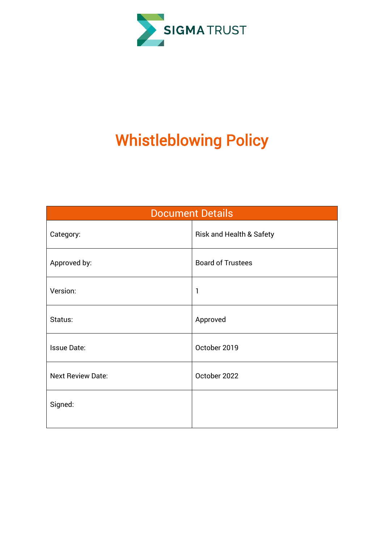

# Whistleblowing Policy

| <b>Document Details</b>  |                                     |  |  |
|--------------------------|-------------------------------------|--|--|
| Category:                | <b>Risk and Health &amp; Safety</b> |  |  |
| Approved by:             | <b>Board of Trustees</b>            |  |  |
| Version:                 | 1                                   |  |  |
| Status:                  | Approved                            |  |  |
| <b>Issue Date:</b>       | October 2019                        |  |  |
| <b>Next Review Date:</b> | October 2022                        |  |  |
| Signed:                  |                                     |  |  |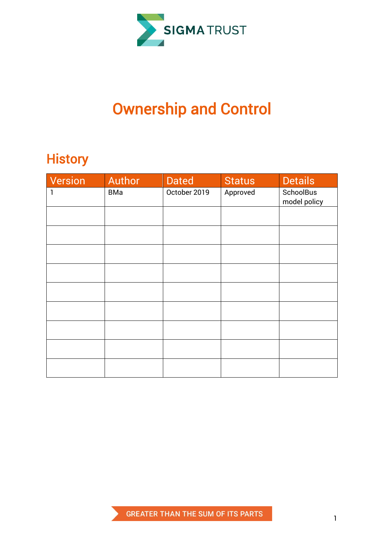

## Ownership and Control

### **History**

| Version | Author | <b>Dated</b> | <b>Status</b> | <b>Details</b>            |
|---------|--------|--------------|---------------|---------------------------|
| 1       | BMa    | October 2019 | Approved      | SchoolBus<br>model policy |
|         |        |              |               |                           |
|         |        |              |               |                           |
|         |        |              |               |                           |
|         |        |              |               |                           |
|         |        |              |               |                           |
|         |        |              |               |                           |
|         |        |              |               |                           |
|         |        |              |               |                           |
|         |        |              |               |                           |

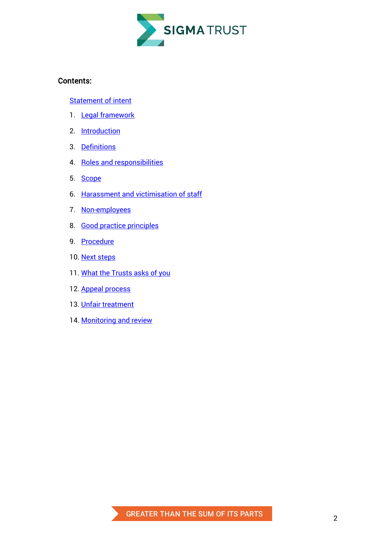

#### Contents:

Statement of intent

- 1. [Legal framework](#page-4-0)
- 2. [Introduction](#page-4-1)
- 3. [Definitions](#page-5-0)
- 4. [Roles and responsibilities](#page-6-0)
- 5. [Scope](#page-7-0)
- 6. [Harassment and victimisation of staff](#page-7-1)
- 7. [Non-employees](#page-8-0)
- 8. [Good practice principles](#page-8-1)
- 9. [Procedure](#page-9-0)
- 10. [Next steps](#page-10-0)
- 11. [What the Trusts asks of you](#page-12-0)
- 12. [Appeal process](#page-12-1)
- 13. [Unfair treatment](#page-12-2)
- 14. [Monitoring and review](#page-12-3)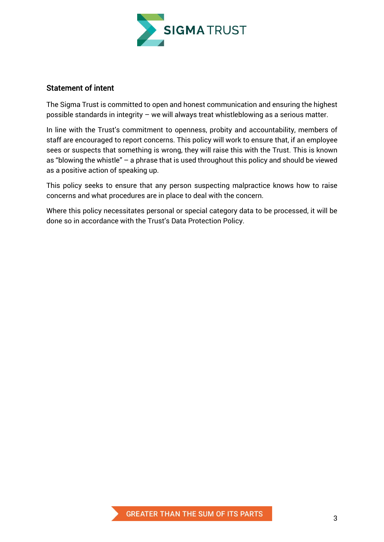

#### Statement of intent

The Sigma Trust is committed to open and honest communication and ensuring the highest possible standards in integrity – we will always treat whistleblowing as a serious matter.

In line with the Trust's commitment to openness, probity and accountability, members of staff are encouraged to report concerns. This policy will work to ensure that, if an employee sees or suspects that something is wrong, they will raise this with the Trust. This is known as "blowing the whistle" – a phrase that is used throughout this policy and should be viewed as a positive action of speaking up.

This policy seeks to ensure that any person suspecting malpractice knows how to raise concerns and what procedures are in place to deal with the concern.

Where this policy necessitates personal or special category data to be processed, it will be done so in accordance with the Trust's Data Protection Policy.

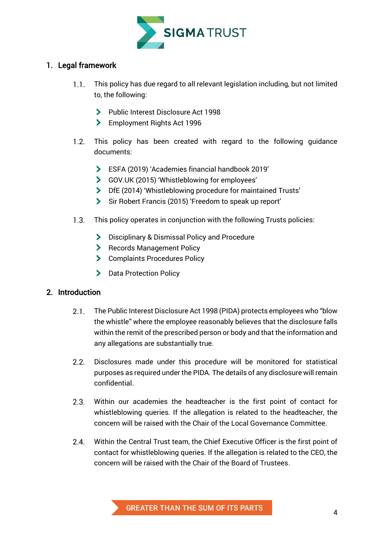

#### <span id="page-4-0"></span>1. Legal framework

- This policy has due regard to all relevant legislation including, but not limited  $1.1.$ to, the following:
	- Public Interest Disclosure Act 1998
	- **Employment Rights Act 1996**
- $1.2.$ This policy has been created with regard to the following guidance documents:
	- ESFA (2019) 'Academies financial handbook 2019'
	- GOV.UK (2015) 'Whistleblowing for employees'
	- DfE (2014) 'Whistleblowing procedure for maintained Trusts'
	- Sir Robert Francis (2015) 'Freedom to speak up report'
- $1.3.$ This policy operates in conjunction with the following Trusts policies:
	- **Disciplinary & Dismissal Policy and Procedure**
	- **Records Management Policy**
	- > Complaints Procedures Policy
	- > Data Protection Policy

#### <span id="page-4-1"></span>2. Introduction

- $2.1$ The Public Interest Disclosure Act 1998 (PIDA) protects employees who "blow the whistle" where the employee reasonably believes that the disclosure falls within the remit of the prescribed person or body and that the information and any allegations are substantially true.
- $2.2.$ Disclosures made under this procedure will be monitored for statistical purposes as required under the PIDA. The details of any disclosure will remain confidential.
- $2.3.$ Within our academies the headteacher is the first point of contact for whistleblowing queries. If the allegation is related to the headteacher, the concern will be raised with the Chair of the Local Governance Committee.
- Within the Central Trust team, the Chief Executive Officer is the first point of  $2.4.$ contact for whistleblowing queries. If the allegation is related to the CEO, the concern will be raised with the Chair of the Board of Trustees.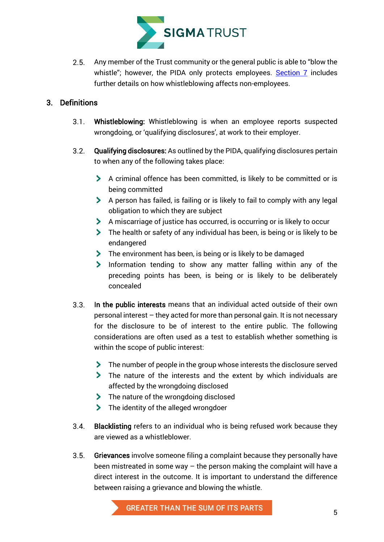

Any member of the Trust community or the general public is able to "blow the  $2.5.$ whistle"; however, the PIDA only protects employees. [Section 7](#page-8-0) includes further details on how whistleblowing affects non-employees.

#### <span id="page-5-0"></span>3. Definitions

- $3.1$ Whistleblowing: Whistleblowing is when an employee reports suspected wrongdoing, or 'qualifying disclosures', at work to their employer.
- <span id="page-5-1"></span> $3.2.$ Qualifying disclosures: As outlined by the PIDA, qualifying disclosures pertain to when any of the following takes place:
	- A criminal offence has been committed, is likely to be committed or is being committed
	- A person has failed, is failing or is likely to fail to comply with any legal obligation to which they are subject
	- A miscarriage of justice has occurred, is occurring or is likely to occur
	- The health or safety of any individual has been, is being or is likely to be endangered
	- The environment has been, is being or is likely to be damaged
	- Information tending to show any matter falling within any of the preceding points has been, is being or is likely to be deliberately concealed
- <span id="page-5-2"></span> $3.3.$ In the public interests means that an individual acted outside of their own personal interest – they acted for more than personal gain. It is not necessary for the disclosure to be of interest to the entire public. The following considerations are often used as a test to establish whether something is within the scope of public interest:
	- The number of people in the group whose interests the disclosure served
	- The nature of the interests and the extent by which individuals are affected by the wrongdoing disclosed
	- The nature of the wrongdoing disclosed
	- > The identity of the alleged wrongdoer
- Blacklisting refers to an individual who is being refused work because they  $3.4.$ are viewed as a whistleblower.
- $3.5.$ Grievances involve someone filing a complaint because they personally have been mistreated in some way – the person making the complaint will have a direct interest in the outcome. It is important to understand the difference between raising a grievance and blowing the whistle.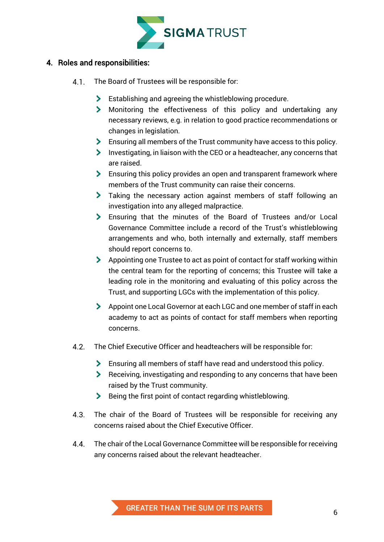

#### <span id="page-6-0"></span>4. Roles and responsibilities:

- The Board of Trustees will be responsible for:  $4.1$ 
	- Establishing and agreeing the whistleblowing procedure.
	- Monitoring the effectiveness of this policy and undertaking any necessary reviews, e.g. in relation to good practice recommendations or changes in legislation.
	- Ensuring all members of the Trust community have access to this policy.
	- Investigating, in liaison with the CEO or a headteacher, any concerns that are raised.
	- **Ensuring this policy provides an open and transparent framework where** members of the Trust community can raise their concerns.
	- Taking the necessary action against members of staff following an investigation into any alleged malpractice.
	- Ensuring that the minutes of the Board of Trustees and/or Local Governance Committee include a record of the Trust's whistleblowing arrangements and who, both internally and externally, staff members should report concerns to.
	- Appointing one Trustee to act as point of contact for staff working within the central team for the reporting of concerns; this Trustee will take a leading role in the monitoring and evaluating of this policy across the Trust, and supporting LGCs with the implementation of this policy.
	- Appoint one Local Governor at each LGC and one member of staff in each academy to act as points of contact for staff members when reporting concerns.
- $4.2$ The Chief Executive Officer and headteachers will be responsible for:
	- Ensuring all members of staff have read and understood this policy.
	- Receiving, investigating and responding to any concerns that have been raised by the Trust community.
	- Being the first point of contact regarding whistleblowing.
- $4.3.$ The chair of the Board of Trustees will be responsible for receiving any concerns raised about the Chief Executive Officer.
- $4.4.$ The chair of the Local Governance Committee will be responsible for receiving any concerns raised about the relevant headteacher.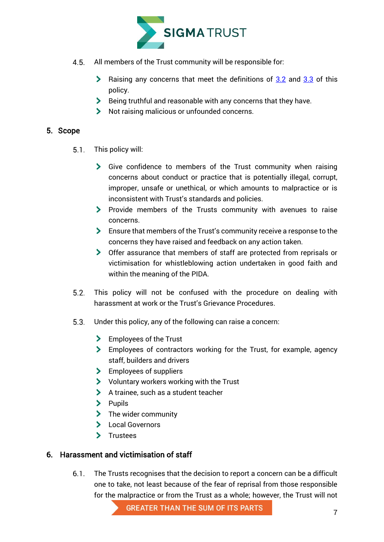

- All members of the Trust community will be responsible for:  $4.5.$ 
	- **Example [3.3](#page-5-2)** Raising any concerns that meet the definitions of  $3.2$  and  $3.3$  of this policy.
	- $\blacktriangleright$  Being truthful and reasonable with any concerns that they have.
	- Not raising malicious or unfounded concerns.

#### <span id="page-7-0"></span>5. Scope

- This policy will:  $5.1.$ 
	- Give confidence to members of the Trust community when raising concerns about conduct or practice that is potentially illegal, corrupt, improper, unsafe or unethical, or which amounts to malpractice or is inconsistent with Trust's standards and policies.
	- Provide members of the Trusts community with avenues to raise concerns.
	- Ensure that members of the Trust's community receive a response to the concerns they have raised and feedback on any action taken.
	- Offer assurance that members of staff are protected from reprisals or victimisation for whistleblowing action undertaken in good faith and within the meaning of the PIDA.
- $5.2.$ This policy will not be confused with the procedure on dealing with harassment at work or the Trust's Grievance Procedures.
- $5.3.$ Under this policy, any of the following can raise a concern:
	- **Employees of the Trust**
	- Employees of contractors working for the Trust, for example, agency staff, builders and drivers
	- > Employees of suppliers
	- Voluntary workers working with the Trust
	- A trainee, such as a student teacher
	- $\sum$  Pupils
	- > The wider community
	- > Local Governors
	- > Trustees

#### <span id="page-7-1"></span>6. Harassment and victimisation of staff

 $6.1$ The Trusts recognises that the decision to report a concern can be a difficult one to take, not least because of the fear of reprisal from those responsible for the malpractice or from the Trust as a whole; however, the Trust will not

**GREATER THAN THE SUM OF ITS PARTS**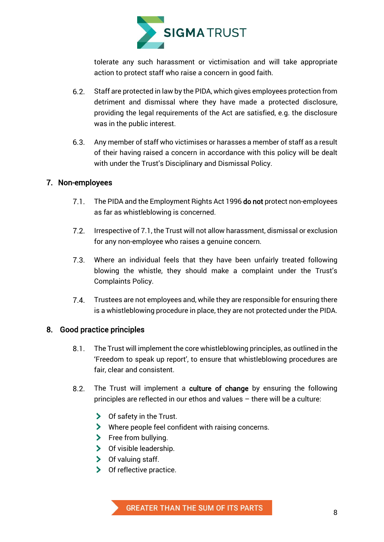

tolerate any such harassment or victimisation and will take appropriate action to protect staff who raise a concern in good faith.

- $6.2.$ Staff are protected in law by the PIDA, which gives employees protection from detriment and dismissal where they have made a protected disclosure, providing the legal requirements of the Act are satisfied, e.g. the disclosure was in the public interest.
- $6.3.$ Any member of staff who victimises or harasses a member of staff as a result of their having raised a concern in accordance with this policy will be dealt with under the Trust's Disciplinary and Dismissal Policy.

#### <span id="page-8-0"></span>7. Non-employees

- The PIDA and the Employment Rights Act 1996 do not protect non-employees as far as whistleblowing is concerned.
- $7.2.$ Irrespective of 7.1, the Trust will not allow harassment, dismissal or exclusion for any non-employee who raises a genuine concern.
- $7.3$ Where an individual feels that they have been unfairly treated following blowing the whistle, they should make a complaint under the Trust's Complaints Policy.
- $7.4$ Trustees are not employees and, while they are responsible for ensuring there is a whistleblowing procedure in place, they are not protected under the PIDA.

#### <span id="page-8-1"></span>8. Good practice principles

- $8.1$ The Trust will implement the core whistleblowing principles, as outlined in the 'Freedom to speak up report', to ensure that whistleblowing procedures are fair, clear and consistent.
- $8.2.$ The Trust will implement a culture of change by ensuring the following principles are reflected in our ethos and values – there will be a culture:
	- $\triangleright$  Of safety in the Trust.
	- Where people feel confident with raising concerns.
	- $\blacktriangleright$  Free from bullying.
	- > Of visible leadership.
	- $\triangleright$  Of valuing staff.
	- $\triangleright$  Of reflective practice.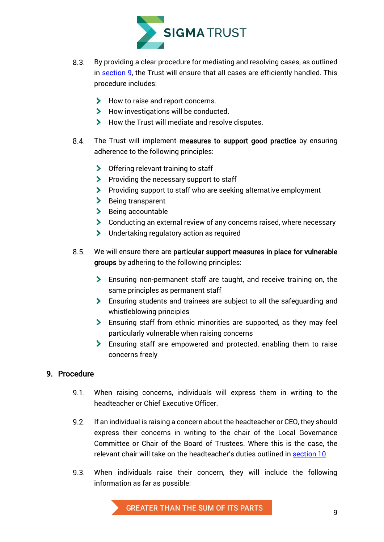

- By providing a clear procedure for mediating and resolving cases, as outlined  $8.3.$ in [section 9,](#page-9-0) the Trust will ensure that all cases are efficiently handled. This procedure includes:
	- How to raise and report concerns.
	- How investigations will be conducted.
	- How the Trust will mediate and resolve disputes.
- $8.4.$ The Trust will implement measures to support good practice by ensuring adherence to the following principles:
	- > Offering relevant training to staff
	- Providing the necessary support to staff
	- Providing support to staff who are seeking alternative employment
	- > Being transparent
	- $\blacktriangleright$  Being accountable
	- Conducting an external review of any concerns raised, where necessary
	- Undertaking regulatory action as required
- $8.5.$ We will ensure there are particular support measures in place for vulnerable groups by adhering to the following principles:
	- Ensuring non-permanent staff are taught, and receive training on, the same principles as permanent staff
	- Ensuring students and trainees are subject to all the safeguarding and whistleblowing principles
	- Ensuring staff from ethnic minorities are supported, as they may feel particularly vulnerable when raising concerns
	- Ensuring staff are empowered and protected, enabling them to raise concerns freely

#### <span id="page-9-0"></span>9. Procedure

- $9.1.$ When raising concerns, individuals will express them in writing to the headteacher or Chief Executive Officer.
- $9.2.$ If an individual is raising a concern about the headteacher or CEO, they should express their concerns in writing to the chair of the Local Governance Committee or Chair of the Board of Trustees. Where this is the case, the relevant chair will take on the headteacher's duties outlined in [section 10.](#page-10-0)
- $9.3.$ When individuals raise their concern, they will include the following information as far as possible: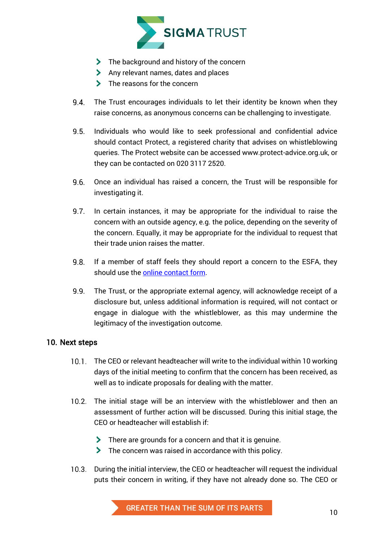

- The background and history of the concern
- Any relevant names, dates and places
- > The reasons for the concern
- 9.4. The Trust encourages individuals to let their identity be known when they raise concerns, as anonymous concerns can be challenging to investigate.
- $9.5.$ Individuals who would like to seek professional and confidential advice should contact Protect, a registered charity that advises on whistleblowing queries. The Protect website can be accessed www.protect-advice.org.uk, or they can be contacted on 020 3117 2520.
- $9.6.$ Once an individual has raised a concern, the Trust will be responsible for investigating it.
- $9.7.$ In certain instances, it may be appropriate for the individual to raise the concern with an outside agency, e.g. the police, depending on the severity of the concern. Equally, it may be appropriate for the individual to request that their trade union raises the matter.
- $9.8.$ If a member of staff feels they should report a concern to the ESFA, they should use the [online contact form.](https://form.education.gov.uk/en/AchieveForms/?form_uri=sandbox-publish://AF-Process-f1453496-7d8a-463f-9f33-1da2ac47ed76/AF-Stage-1e64d4cc-25fb-499a-a8d7-74e98203ac00/definition.json&redirectlink=%2Fen&cancelRedirectLink=%2Fenm)
- $9.9.$ The Trust, or the appropriate external agency, will acknowledge receipt of a disclosure but, unless additional information is required, will not contact or engage in dialogue with the whistleblower, as this may undermine the legitimacy of the investigation outcome.

#### <span id="page-10-0"></span>10. Next steps

- The CEO or relevant headteacher will write to the individual within 10 working days of the initial meeting to confirm that the concern has been received, as well as to indicate proposals for dealing with the matter.
- The initial stage will be an interview with the whistleblower and then an assessment of further action will be discussed. During this initial stage, the CEO or headteacher will establish if:
	- There are grounds for a concern and that it is genuine.
	- The concern was raised in accordance with this policy.
- $10.3.$ During the initial interview, the CEO or headteacher will request the individual puts their concern in writing, if they have not already done so. The CEO or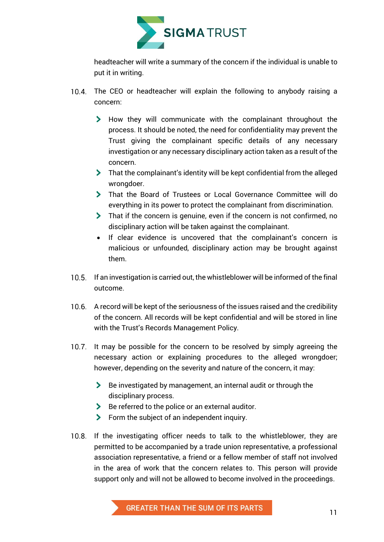

headteacher will write a summary of the concern if the individual is unable to put it in writing.

- 10.4. The CEO or headteacher will explain the following to anybody raising a concern:
	- How they will communicate with the complainant throughout the process. It should be noted, the need for confidentiality may prevent the Trust giving the complainant specific details of any necessary investigation or any necessary disciplinary action taken as a result of the concern.
	- That the complainant's identity will be kept confidential from the alleged wrongdoer.
	- That the Board of Trustees or Local Governance Committee will do everything in its power to protect the complainant from discrimination.
	- That if the concern is genuine, even if the concern is not confirmed, no disciplinary action will be taken against the complainant.
	- If clear evidence is uncovered that the complainant's concern is malicious or unfounded, disciplinary action may be brought against them.
- 10.5. If an investigation is carried out, the whistleblower will be informed of the final outcome.
- 10.6. A record will be kept of the seriousness of the issues raised and the credibility of the concern. All records will be kept confidential and will be stored in line with the Trust's Records Management Policy.
- 10.7. It may be possible for the concern to be resolved by simply agreeing the necessary action or explaining procedures to the alleged wrongdoer; however, depending on the severity and nature of the concern, it may:
	- Be investigated by management, an internal audit or through the disciplinary process.
	- Be referred to the police or an external auditor.
	- **Form the subject of an independent inquiry.**
- 10.8. If the investigating officer needs to talk to the whistleblower, they are permitted to be accompanied by a trade union representative, a professional association representative, a friend or a fellow member of staff not involved in the area of work that the concern relates to. This person will provide support only and will not be allowed to become involved in the proceedings.